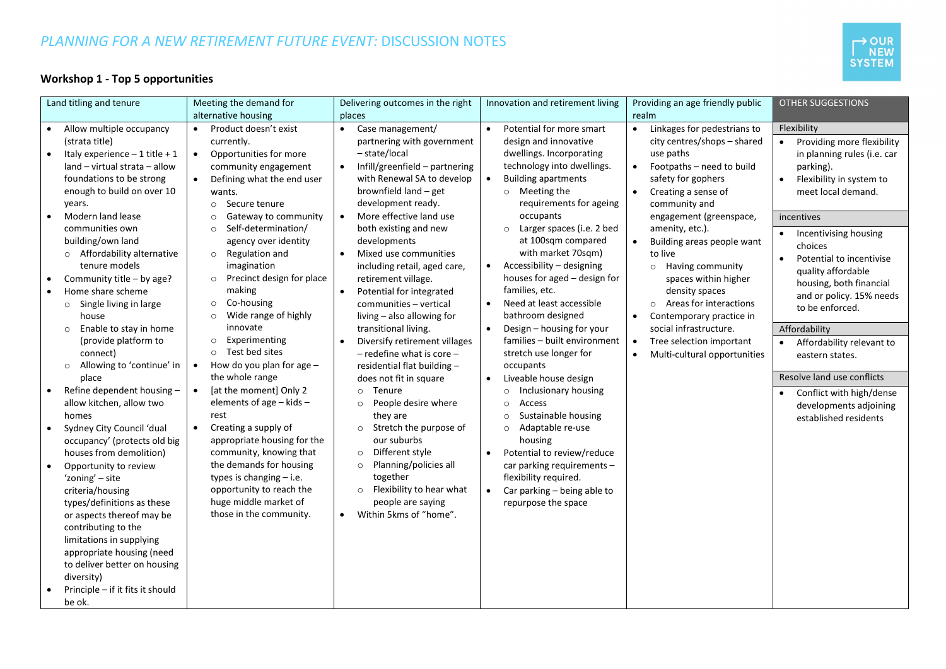# *PLANNING FOR A NEW RETIREMENT FUTURE EVENT:* DISCUSSION NOTES



# **Workshop 1 - Top 5 opportunities**

| alternative housing<br>places<br>realm<br>Case management/<br>Potential for more smart<br>Linkages for pedestrians to<br>Flexibility<br>Allow multiple occupancy<br>Product doesn't exist<br>$\bullet$<br>$\bullet$<br>$\bullet$<br>$\bullet$<br>design and innovative<br>city centres/shops - shared<br>(strata title)<br>currently.<br>partnering with government<br>Providing more flexibility<br>dwellings. Incorporating<br>Opportunities for more<br>- state/local<br>use paths<br>Italy experience $-1$ title $+1$<br>in planning rules (i.e. car<br>$\bullet$<br>technology into dwellings.<br>land - virtual strata - allow<br>Infill/greenfield - partnering<br>Footpaths - need to build<br>community engagement<br>$\bullet$<br>parking).<br>$\bullet$<br>foundations to be strong<br>with Renewal SA to develop<br>$\bullet$<br><b>Building apartments</b><br>safety for gophers<br>Flexibility in system to<br>Defining what the end user<br>enough to build on over 10<br>brownfield land - get<br>$\circ$ Meeting the<br>Creating a sense of<br>meet local demand.<br>$\bullet$<br>wants.<br>development ready.<br>years.<br>Secure tenure<br>requirements for ageing<br>community and<br>$\circ$<br>More effective land use<br>Modern land lease<br>occupants<br>Gateway to community<br>engagement (greenspace,<br>$\bullet$<br>incentives<br>$\circ$<br>Larger spaces (i.e. 2 bed<br>communities own<br>Self-determination/<br>both existing and new<br>amenity, etc.).<br>$\circ$<br>$\circ$<br>• Incentivising housing<br>building/own land<br>at 100sqm compared<br>agency over identity<br>developments<br>Building areas people want<br>$\bullet$<br>choices<br>with market 70sqm)<br>Affordability alternative<br>o Regulation and<br>Mixed use communities<br>to live<br>$\circ$<br>$\bullet$<br>Potential to incentivise<br>tenure models<br>Accessibility - designing<br>imagination<br>including retail, aged care,<br>Having community<br>$\bullet$<br>$\circ$<br>quality affordable<br>Community title - by age?<br>Precinct design for place<br>houses for aged - design for<br>retirement village.<br>spaces within higher<br>$\circ$<br>housing, both financial<br>families, etc.<br>making<br>Home share scheme<br>Potential for integrated<br>density spaces<br>$\bullet$<br>and or policy. 15% needs<br>Co-housing<br>Need at least accessible<br>Areas for interactions<br>communities - vertical<br>Single living in large<br>$\bullet$<br>$\circ$<br>$\Omega$<br>$\circ$<br>to be enforced.<br>Wide range of highly<br>bathroom designed<br>living - also allowing for<br>Contemporary practice in<br>house<br>$\circ$<br>$\bullet$<br>innovate<br>Design - housing for your<br>social infrastructure.<br>Affordability<br>Enable to stay in home<br>transitional living.<br>$\bullet$<br>$\circ$<br>Experimenting<br>families - built environment<br>(provide platform to<br>$\circ$<br>Diversify retirement villages<br>Tree selection important<br>$\bullet$<br>Affordability relevant to<br>$\circ$ Test bed sites<br>$-$ redefine what is core $-$<br>stretch use longer for<br>connect)<br>Multi-cultural opportunities<br>$\bullet$<br>eastern states.<br>Allowing to 'continue' in<br>How do you plan for age $-$<br>$\bullet$<br>residential flat building -<br>occupants<br>$\circ$<br>Resolve land use conflicts<br>the whole range<br>Liveable house design<br>place<br>does not fit in square<br>[at the moment] Only 2<br>Refine dependent housing -<br>$\bullet$<br>Tenure<br>Inclusionary housing<br>$\circ$<br>$\circ$<br>• Conflict with high/dense<br>elements of age - kids -<br>allow kitchen, allow two<br>People desire where<br>Access<br>$\circ$<br>$\circ$<br>developments adjoining<br>rest<br>Sustainable housing<br>homes<br>they are<br>$\circ$<br>established residents<br>Creating a supply of<br>Sydney City Council 'dual<br>$\bullet$<br>Stretch the purpose of<br>Adaptable re-use<br>$\circ$<br>$\circ$<br>our suburbs<br>appropriate housing for the<br>housing<br>occupancy' (protects old big<br>community, knowing that<br>Different style<br>houses from demolition)<br>$\circ$<br>Potential to review/reduce<br>$\bullet$<br>the demands for housing<br>Planning/policies all<br>car parking requirements -<br>Opportunity to review<br>$\circ$<br>types is changing $-$ i.e.<br>together<br>flexibility required.<br>'zoning' - site<br>opportunity to reach the<br>Flexibility to hear what<br>criteria/housing<br>$\circ$<br>Car parking - being able to<br>$\bullet$<br>huge middle market of<br>people are saying<br>types/definitions as these<br>repurpose the space<br>Within 5kms of "home".<br>those in the community.<br>or aspects thereof may be<br>$\bullet$<br>contributing to the<br>limitations in supplying<br>appropriate housing (need | Land titling and tenure | Meeting the demand for | Delivering outcomes in the right | Innovation and retirement living | Providing an age friendly public | <b>OTHER SUGGESTIONS</b> |
|-----------------------------------------------------------------------------------------------------------------------------------------------------------------------------------------------------------------------------------------------------------------------------------------------------------------------------------------------------------------------------------------------------------------------------------------------------------------------------------------------------------------------------------------------------------------------------------------------------------------------------------------------------------------------------------------------------------------------------------------------------------------------------------------------------------------------------------------------------------------------------------------------------------------------------------------------------------------------------------------------------------------------------------------------------------------------------------------------------------------------------------------------------------------------------------------------------------------------------------------------------------------------------------------------------------------------------------------------------------------------------------------------------------------------------------------------------------------------------------------------------------------------------------------------------------------------------------------------------------------------------------------------------------------------------------------------------------------------------------------------------------------------------------------------------------------------------------------------------------------------------------------------------------------------------------------------------------------------------------------------------------------------------------------------------------------------------------------------------------------------------------------------------------------------------------------------------------------------------------------------------------------------------------------------------------------------------------------------------------------------------------------------------------------------------------------------------------------------------------------------------------------------------------------------------------------------------------------------------------------------------------------------------------------------------------------------------------------------------------------------------------------------------------------------------------------------------------------------------------------------------------------------------------------------------------------------------------------------------------------------------------------------------------------------------------------------------------------------------------------------------------------------------------------------------------------------------------------------------------------------------------------------------------------------------------------------------------------------------------------------------------------------------------------------------------------------------------------------------------------------------------------------------------------------------------------------------------------------------------------------------------------------------------------------------------------------------------------------------------------------------------------------------------------------------------------------------------------------------------------------------------------------------------------------------------------------------------------------------------------------------------------------------------------------------------------------------------------------------------------------------------------------------------------------------------------------------------------------------------------------------------------------------------------------------------------------------------------------------------------------------------------------------------------------------------------------------------------------------------------------------------------------------------------------------------------------------------------------------------------------------------------------------------------------------------------------------------------------------------------------------------------------------------------------------------------------------------------------|-------------------------|------------------------|----------------------------------|----------------------------------|----------------------------------|--------------------------|
|                                                                                                                                                                                                                                                                                                                                                                                                                                                                                                                                                                                                                                                                                                                                                                                                                                                                                                                                                                                                                                                                                                                                                                                                                                                                                                                                                                                                                                                                                                                                                                                                                                                                                                                                                                                                                                                                                                                                                                                                                                                                                                                                                                                                                                                                                                                                                                                                                                                                                                                                                                                                                                                                                                                                                                                                                                                                                                                                                                                                                                                                                                                                                                                                                                                                                                                                                                                                                                                                                                                                                                                                                                                                                                                                                                                                                                                                                                                                                                                                                                                                                                                                                                                                                                                                                                                                                                                                                                                                                                                                                                                                                                                                                                                                                                                                                                               |                         |                        |                                  |                                  |                                  |                          |
|                                                                                                                                                                                                                                                                                                                                                                                                                                                                                                                                                                                                                                                                                                                                                                                                                                                                                                                                                                                                                                                                                                                                                                                                                                                                                                                                                                                                                                                                                                                                                                                                                                                                                                                                                                                                                                                                                                                                                                                                                                                                                                                                                                                                                                                                                                                                                                                                                                                                                                                                                                                                                                                                                                                                                                                                                                                                                                                                                                                                                                                                                                                                                                                                                                                                                                                                                                                                                                                                                                                                                                                                                                                                                                                                                                                                                                                                                                                                                                                                                                                                                                                                                                                                                                                                                                                                                                                                                                                                                                                                                                                                                                                                                                                                                                                                                                               |                         |                        |                                  |                                  |                                  |                          |
|                                                                                                                                                                                                                                                                                                                                                                                                                                                                                                                                                                                                                                                                                                                                                                                                                                                                                                                                                                                                                                                                                                                                                                                                                                                                                                                                                                                                                                                                                                                                                                                                                                                                                                                                                                                                                                                                                                                                                                                                                                                                                                                                                                                                                                                                                                                                                                                                                                                                                                                                                                                                                                                                                                                                                                                                                                                                                                                                                                                                                                                                                                                                                                                                                                                                                                                                                                                                                                                                                                                                                                                                                                                                                                                                                                                                                                                                                                                                                                                                                                                                                                                                                                                                                                                                                                                                                                                                                                                                                                                                                                                                                                                                                                                                                                                                                                               |                         |                        |                                  |                                  |                                  |                          |
|                                                                                                                                                                                                                                                                                                                                                                                                                                                                                                                                                                                                                                                                                                                                                                                                                                                                                                                                                                                                                                                                                                                                                                                                                                                                                                                                                                                                                                                                                                                                                                                                                                                                                                                                                                                                                                                                                                                                                                                                                                                                                                                                                                                                                                                                                                                                                                                                                                                                                                                                                                                                                                                                                                                                                                                                                                                                                                                                                                                                                                                                                                                                                                                                                                                                                                                                                                                                                                                                                                                                                                                                                                                                                                                                                                                                                                                                                                                                                                                                                                                                                                                                                                                                                                                                                                                                                                                                                                                                                                                                                                                                                                                                                                                                                                                                                                               |                         |                        |                                  |                                  |                                  |                          |
|                                                                                                                                                                                                                                                                                                                                                                                                                                                                                                                                                                                                                                                                                                                                                                                                                                                                                                                                                                                                                                                                                                                                                                                                                                                                                                                                                                                                                                                                                                                                                                                                                                                                                                                                                                                                                                                                                                                                                                                                                                                                                                                                                                                                                                                                                                                                                                                                                                                                                                                                                                                                                                                                                                                                                                                                                                                                                                                                                                                                                                                                                                                                                                                                                                                                                                                                                                                                                                                                                                                                                                                                                                                                                                                                                                                                                                                                                                                                                                                                                                                                                                                                                                                                                                                                                                                                                                                                                                                                                                                                                                                                                                                                                                                                                                                                                                               |                         |                        |                                  |                                  |                                  |                          |
|                                                                                                                                                                                                                                                                                                                                                                                                                                                                                                                                                                                                                                                                                                                                                                                                                                                                                                                                                                                                                                                                                                                                                                                                                                                                                                                                                                                                                                                                                                                                                                                                                                                                                                                                                                                                                                                                                                                                                                                                                                                                                                                                                                                                                                                                                                                                                                                                                                                                                                                                                                                                                                                                                                                                                                                                                                                                                                                                                                                                                                                                                                                                                                                                                                                                                                                                                                                                                                                                                                                                                                                                                                                                                                                                                                                                                                                                                                                                                                                                                                                                                                                                                                                                                                                                                                                                                                                                                                                                                                                                                                                                                                                                                                                                                                                                                                               |                         |                        |                                  |                                  |                                  |                          |
|                                                                                                                                                                                                                                                                                                                                                                                                                                                                                                                                                                                                                                                                                                                                                                                                                                                                                                                                                                                                                                                                                                                                                                                                                                                                                                                                                                                                                                                                                                                                                                                                                                                                                                                                                                                                                                                                                                                                                                                                                                                                                                                                                                                                                                                                                                                                                                                                                                                                                                                                                                                                                                                                                                                                                                                                                                                                                                                                                                                                                                                                                                                                                                                                                                                                                                                                                                                                                                                                                                                                                                                                                                                                                                                                                                                                                                                                                                                                                                                                                                                                                                                                                                                                                                                                                                                                                                                                                                                                                                                                                                                                                                                                                                                                                                                                                                               |                         |                        |                                  |                                  |                                  |                          |
|                                                                                                                                                                                                                                                                                                                                                                                                                                                                                                                                                                                                                                                                                                                                                                                                                                                                                                                                                                                                                                                                                                                                                                                                                                                                                                                                                                                                                                                                                                                                                                                                                                                                                                                                                                                                                                                                                                                                                                                                                                                                                                                                                                                                                                                                                                                                                                                                                                                                                                                                                                                                                                                                                                                                                                                                                                                                                                                                                                                                                                                                                                                                                                                                                                                                                                                                                                                                                                                                                                                                                                                                                                                                                                                                                                                                                                                                                                                                                                                                                                                                                                                                                                                                                                                                                                                                                                                                                                                                                                                                                                                                                                                                                                                                                                                                                                               |                         |                        |                                  |                                  |                                  |                          |
|                                                                                                                                                                                                                                                                                                                                                                                                                                                                                                                                                                                                                                                                                                                                                                                                                                                                                                                                                                                                                                                                                                                                                                                                                                                                                                                                                                                                                                                                                                                                                                                                                                                                                                                                                                                                                                                                                                                                                                                                                                                                                                                                                                                                                                                                                                                                                                                                                                                                                                                                                                                                                                                                                                                                                                                                                                                                                                                                                                                                                                                                                                                                                                                                                                                                                                                                                                                                                                                                                                                                                                                                                                                                                                                                                                                                                                                                                                                                                                                                                                                                                                                                                                                                                                                                                                                                                                                                                                                                                                                                                                                                                                                                                                                                                                                                                                               |                         |                        |                                  |                                  |                                  |                          |
|                                                                                                                                                                                                                                                                                                                                                                                                                                                                                                                                                                                                                                                                                                                                                                                                                                                                                                                                                                                                                                                                                                                                                                                                                                                                                                                                                                                                                                                                                                                                                                                                                                                                                                                                                                                                                                                                                                                                                                                                                                                                                                                                                                                                                                                                                                                                                                                                                                                                                                                                                                                                                                                                                                                                                                                                                                                                                                                                                                                                                                                                                                                                                                                                                                                                                                                                                                                                                                                                                                                                                                                                                                                                                                                                                                                                                                                                                                                                                                                                                                                                                                                                                                                                                                                                                                                                                                                                                                                                                                                                                                                                                                                                                                                                                                                                                                               |                         |                        |                                  |                                  |                                  |                          |
|                                                                                                                                                                                                                                                                                                                                                                                                                                                                                                                                                                                                                                                                                                                                                                                                                                                                                                                                                                                                                                                                                                                                                                                                                                                                                                                                                                                                                                                                                                                                                                                                                                                                                                                                                                                                                                                                                                                                                                                                                                                                                                                                                                                                                                                                                                                                                                                                                                                                                                                                                                                                                                                                                                                                                                                                                                                                                                                                                                                                                                                                                                                                                                                                                                                                                                                                                                                                                                                                                                                                                                                                                                                                                                                                                                                                                                                                                                                                                                                                                                                                                                                                                                                                                                                                                                                                                                                                                                                                                                                                                                                                                                                                                                                                                                                                                                               |                         |                        |                                  |                                  |                                  |                          |
|                                                                                                                                                                                                                                                                                                                                                                                                                                                                                                                                                                                                                                                                                                                                                                                                                                                                                                                                                                                                                                                                                                                                                                                                                                                                                                                                                                                                                                                                                                                                                                                                                                                                                                                                                                                                                                                                                                                                                                                                                                                                                                                                                                                                                                                                                                                                                                                                                                                                                                                                                                                                                                                                                                                                                                                                                                                                                                                                                                                                                                                                                                                                                                                                                                                                                                                                                                                                                                                                                                                                                                                                                                                                                                                                                                                                                                                                                                                                                                                                                                                                                                                                                                                                                                                                                                                                                                                                                                                                                                                                                                                                                                                                                                                                                                                                                                               |                         |                        |                                  |                                  |                                  |                          |
|                                                                                                                                                                                                                                                                                                                                                                                                                                                                                                                                                                                                                                                                                                                                                                                                                                                                                                                                                                                                                                                                                                                                                                                                                                                                                                                                                                                                                                                                                                                                                                                                                                                                                                                                                                                                                                                                                                                                                                                                                                                                                                                                                                                                                                                                                                                                                                                                                                                                                                                                                                                                                                                                                                                                                                                                                                                                                                                                                                                                                                                                                                                                                                                                                                                                                                                                                                                                                                                                                                                                                                                                                                                                                                                                                                                                                                                                                                                                                                                                                                                                                                                                                                                                                                                                                                                                                                                                                                                                                                                                                                                                                                                                                                                                                                                                                                               |                         |                        |                                  |                                  |                                  |                          |
|                                                                                                                                                                                                                                                                                                                                                                                                                                                                                                                                                                                                                                                                                                                                                                                                                                                                                                                                                                                                                                                                                                                                                                                                                                                                                                                                                                                                                                                                                                                                                                                                                                                                                                                                                                                                                                                                                                                                                                                                                                                                                                                                                                                                                                                                                                                                                                                                                                                                                                                                                                                                                                                                                                                                                                                                                                                                                                                                                                                                                                                                                                                                                                                                                                                                                                                                                                                                                                                                                                                                                                                                                                                                                                                                                                                                                                                                                                                                                                                                                                                                                                                                                                                                                                                                                                                                                                                                                                                                                                                                                                                                                                                                                                                                                                                                                                               |                         |                        |                                  |                                  |                                  |                          |
|                                                                                                                                                                                                                                                                                                                                                                                                                                                                                                                                                                                                                                                                                                                                                                                                                                                                                                                                                                                                                                                                                                                                                                                                                                                                                                                                                                                                                                                                                                                                                                                                                                                                                                                                                                                                                                                                                                                                                                                                                                                                                                                                                                                                                                                                                                                                                                                                                                                                                                                                                                                                                                                                                                                                                                                                                                                                                                                                                                                                                                                                                                                                                                                                                                                                                                                                                                                                                                                                                                                                                                                                                                                                                                                                                                                                                                                                                                                                                                                                                                                                                                                                                                                                                                                                                                                                                                                                                                                                                                                                                                                                                                                                                                                                                                                                                                               |                         |                        |                                  |                                  |                                  |                          |
|                                                                                                                                                                                                                                                                                                                                                                                                                                                                                                                                                                                                                                                                                                                                                                                                                                                                                                                                                                                                                                                                                                                                                                                                                                                                                                                                                                                                                                                                                                                                                                                                                                                                                                                                                                                                                                                                                                                                                                                                                                                                                                                                                                                                                                                                                                                                                                                                                                                                                                                                                                                                                                                                                                                                                                                                                                                                                                                                                                                                                                                                                                                                                                                                                                                                                                                                                                                                                                                                                                                                                                                                                                                                                                                                                                                                                                                                                                                                                                                                                                                                                                                                                                                                                                                                                                                                                                                                                                                                                                                                                                                                                                                                                                                                                                                                                                               |                         |                        |                                  |                                  |                                  |                          |
|                                                                                                                                                                                                                                                                                                                                                                                                                                                                                                                                                                                                                                                                                                                                                                                                                                                                                                                                                                                                                                                                                                                                                                                                                                                                                                                                                                                                                                                                                                                                                                                                                                                                                                                                                                                                                                                                                                                                                                                                                                                                                                                                                                                                                                                                                                                                                                                                                                                                                                                                                                                                                                                                                                                                                                                                                                                                                                                                                                                                                                                                                                                                                                                                                                                                                                                                                                                                                                                                                                                                                                                                                                                                                                                                                                                                                                                                                                                                                                                                                                                                                                                                                                                                                                                                                                                                                                                                                                                                                                                                                                                                                                                                                                                                                                                                                                               |                         |                        |                                  |                                  |                                  |                          |
|                                                                                                                                                                                                                                                                                                                                                                                                                                                                                                                                                                                                                                                                                                                                                                                                                                                                                                                                                                                                                                                                                                                                                                                                                                                                                                                                                                                                                                                                                                                                                                                                                                                                                                                                                                                                                                                                                                                                                                                                                                                                                                                                                                                                                                                                                                                                                                                                                                                                                                                                                                                                                                                                                                                                                                                                                                                                                                                                                                                                                                                                                                                                                                                                                                                                                                                                                                                                                                                                                                                                                                                                                                                                                                                                                                                                                                                                                                                                                                                                                                                                                                                                                                                                                                                                                                                                                                                                                                                                                                                                                                                                                                                                                                                                                                                                                                               |                         |                        |                                  |                                  |                                  |                          |
|                                                                                                                                                                                                                                                                                                                                                                                                                                                                                                                                                                                                                                                                                                                                                                                                                                                                                                                                                                                                                                                                                                                                                                                                                                                                                                                                                                                                                                                                                                                                                                                                                                                                                                                                                                                                                                                                                                                                                                                                                                                                                                                                                                                                                                                                                                                                                                                                                                                                                                                                                                                                                                                                                                                                                                                                                                                                                                                                                                                                                                                                                                                                                                                                                                                                                                                                                                                                                                                                                                                                                                                                                                                                                                                                                                                                                                                                                                                                                                                                                                                                                                                                                                                                                                                                                                                                                                                                                                                                                                                                                                                                                                                                                                                                                                                                                                               |                         |                        |                                  |                                  |                                  |                          |
|                                                                                                                                                                                                                                                                                                                                                                                                                                                                                                                                                                                                                                                                                                                                                                                                                                                                                                                                                                                                                                                                                                                                                                                                                                                                                                                                                                                                                                                                                                                                                                                                                                                                                                                                                                                                                                                                                                                                                                                                                                                                                                                                                                                                                                                                                                                                                                                                                                                                                                                                                                                                                                                                                                                                                                                                                                                                                                                                                                                                                                                                                                                                                                                                                                                                                                                                                                                                                                                                                                                                                                                                                                                                                                                                                                                                                                                                                                                                                                                                                                                                                                                                                                                                                                                                                                                                                                                                                                                                                                                                                                                                                                                                                                                                                                                                                                               |                         |                        |                                  |                                  |                                  |                          |
|                                                                                                                                                                                                                                                                                                                                                                                                                                                                                                                                                                                                                                                                                                                                                                                                                                                                                                                                                                                                                                                                                                                                                                                                                                                                                                                                                                                                                                                                                                                                                                                                                                                                                                                                                                                                                                                                                                                                                                                                                                                                                                                                                                                                                                                                                                                                                                                                                                                                                                                                                                                                                                                                                                                                                                                                                                                                                                                                                                                                                                                                                                                                                                                                                                                                                                                                                                                                                                                                                                                                                                                                                                                                                                                                                                                                                                                                                                                                                                                                                                                                                                                                                                                                                                                                                                                                                                                                                                                                                                                                                                                                                                                                                                                                                                                                                                               |                         |                        |                                  |                                  |                                  |                          |
|                                                                                                                                                                                                                                                                                                                                                                                                                                                                                                                                                                                                                                                                                                                                                                                                                                                                                                                                                                                                                                                                                                                                                                                                                                                                                                                                                                                                                                                                                                                                                                                                                                                                                                                                                                                                                                                                                                                                                                                                                                                                                                                                                                                                                                                                                                                                                                                                                                                                                                                                                                                                                                                                                                                                                                                                                                                                                                                                                                                                                                                                                                                                                                                                                                                                                                                                                                                                                                                                                                                                                                                                                                                                                                                                                                                                                                                                                                                                                                                                                                                                                                                                                                                                                                                                                                                                                                                                                                                                                                                                                                                                                                                                                                                                                                                                                                               |                         |                        |                                  |                                  |                                  |                          |
|                                                                                                                                                                                                                                                                                                                                                                                                                                                                                                                                                                                                                                                                                                                                                                                                                                                                                                                                                                                                                                                                                                                                                                                                                                                                                                                                                                                                                                                                                                                                                                                                                                                                                                                                                                                                                                                                                                                                                                                                                                                                                                                                                                                                                                                                                                                                                                                                                                                                                                                                                                                                                                                                                                                                                                                                                                                                                                                                                                                                                                                                                                                                                                                                                                                                                                                                                                                                                                                                                                                                                                                                                                                                                                                                                                                                                                                                                                                                                                                                                                                                                                                                                                                                                                                                                                                                                                                                                                                                                                                                                                                                                                                                                                                                                                                                                                               |                         |                        |                                  |                                  |                                  |                          |
|                                                                                                                                                                                                                                                                                                                                                                                                                                                                                                                                                                                                                                                                                                                                                                                                                                                                                                                                                                                                                                                                                                                                                                                                                                                                                                                                                                                                                                                                                                                                                                                                                                                                                                                                                                                                                                                                                                                                                                                                                                                                                                                                                                                                                                                                                                                                                                                                                                                                                                                                                                                                                                                                                                                                                                                                                                                                                                                                                                                                                                                                                                                                                                                                                                                                                                                                                                                                                                                                                                                                                                                                                                                                                                                                                                                                                                                                                                                                                                                                                                                                                                                                                                                                                                                                                                                                                                                                                                                                                                                                                                                                                                                                                                                                                                                                                                               |                         |                        |                                  |                                  |                                  |                          |
|                                                                                                                                                                                                                                                                                                                                                                                                                                                                                                                                                                                                                                                                                                                                                                                                                                                                                                                                                                                                                                                                                                                                                                                                                                                                                                                                                                                                                                                                                                                                                                                                                                                                                                                                                                                                                                                                                                                                                                                                                                                                                                                                                                                                                                                                                                                                                                                                                                                                                                                                                                                                                                                                                                                                                                                                                                                                                                                                                                                                                                                                                                                                                                                                                                                                                                                                                                                                                                                                                                                                                                                                                                                                                                                                                                                                                                                                                                                                                                                                                                                                                                                                                                                                                                                                                                                                                                                                                                                                                                                                                                                                                                                                                                                                                                                                                                               |                         |                        |                                  |                                  |                                  |                          |
|                                                                                                                                                                                                                                                                                                                                                                                                                                                                                                                                                                                                                                                                                                                                                                                                                                                                                                                                                                                                                                                                                                                                                                                                                                                                                                                                                                                                                                                                                                                                                                                                                                                                                                                                                                                                                                                                                                                                                                                                                                                                                                                                                                                                                                                                                                                                                                                                                                                                                                                                                                                                                                                                                                                                                                                                                                                                                                                                                                                                                                                                                                                                                                                                                                                                                                                                                                                                                                                                                                                                                                                                                                                                                                                                                                                                                                                                                                                                                                                                                                                                                                                                                                                                                                                                                                                                                                                                                                                                                                                                                                                                                                                                                                                                                                                                                                               |                         |                        |                                  |                                  |                                  |                          |
|                                                                                                                                                                                                                                                                                                                                                                                                                                                                                                                                                                                                                                                                                                                                                                                                                                                                                                                                                                                                                                                                                                                                                                                                                                                                                                                                                                                                                                                                                                                                                                                                                                                                                                                                                                                                                                                                                                                                                                                                                                                                                                                                                                                                                                                                                                                                                                                                                                                                                                                                                                                                                                                                                                                                                                                                                                                                                                                                                                                                                                                                                                                                                                                                                                                                                                                                                                                                                                                                                                                                                                                                                                                                                                                                                                                                                                                                                                                                                                                                                                                                                                                                                                                                                                                                                                                                                                                                                                                                                                                                                                                                                                                                                                                                                                                                                                               |                         |                        |                                  |                                  |                                  |                          |
|                                                                                                                                                                                                                                                                                                                                                                                                                                                                                                                                                                                                                                                                                                                                                                                                                                                                                                                                                                                                                                                                                                                                                                                                                                                                                                                                                                                                                                                                                                                                                                                                                                                                                                                                                                                                                                                                                                                                                                                                                                                                                                                                                                                                                                                                                                                                                                                                                                                                                                                                                                                                                                                                                                                                                                                                                                                                                                                                                                                                                                                                                                                                                                                                                                                                                                                                                                                                                                                                                                                                                                                                                                                                                                                                                                                                                                                                                                                                                                                                                                                                                                                                                                                                                                                                                                                                                                                                                                                                                                                                                                                                                                                                                                                                                                                                                                               |                         |                        |                                  |                                  |                                  |                          |
|                                                                                                                                                                                                                                                                                                                                                                                                                                                                                                                                                                                                                                                                                                                                                                                                                                                                                                                                                                                                                                                                                                                                                                                                                                                                                                                                                                                                                                                                                                                                                                                                                                                                                                                                                                                                                                                                                                                                                                                                                                                                                                                                                                                                                                                                                                                                                                                                                                                                                                                                                                                                                                                                                                                                                                                                                                                                                                                                                                                                                                                                                                                                                                                                                                                                                                                                                                                                                                                                                                                                                                                                                                                                                                                                                                                                                                                                                                                                                                                                                                                                                                                                                                                                                                                                                                                                                                                                                                                                                                                                                                                                                                                                                                                                                                                                                                               |                         |                        |                                  |                                  |                                  |                          |
|                                                                                                                                                                                                                                                                                                                                                                                                                                                                                                                                                                                                                                                                                                                                                                                                                                                                                                                                                                                                                                                                                                                                                                                                                                                                                                                                                                                                                                                                                                                                                                                                                                                                                                                                                                                                                                                                                                                                                                                                                                                                                                                                                                                                                                                                                                                                                                                                                                                                                                                                                                                                                                                                                                                                                                                                                                                                                                                                                                                                                                                                                                                                                                                                                                                                                                                                                                                                                                                                                                                                                                                                                                                                                                                                                                                                                                                                                                                                                                                                                                                                                                                                                                                                                                                                                                                                                                                                                                                                                                                                                                                                                                                                                                                                                                                                                                               |                         |                        |                                  |                                  |                                  |                          |
|                                                                                                                                                                                                                                                                                                                                                                                                                                                                                                                                                                                                                                                                                                                                                                                                                                                                                                                                                                                                                                                                                                                                                                                                                                                                                                                                                                                                                                                                                                                                                                                                                                                                                                                                                                                                                                                                                                                                                                                                                                                                                                                                                                                                                                                                                                                                                                                                                                                                                                                                                                                                                                                                                                                                                                                                                                                                                                                                                                                                                                                                                                                                                                                                                                                                                                                                                                                                                                                                                                                                                                                                                                                                                                                                                                                                                                                                                                                                                                                                                                                                                                                                                                                                                                                                                                                                                                                                                                                                                                                                                                                                                                                                                                                                                                                                                                               |                         |                        |                                  |                                  |                                  |                          |
|                                                                                                                                                                                                                                                                                                                                                                                                                                                                                                                                                                                                                                                                                                                                                                                                                                                                                                                                                                                                                                                                                                                                                                                                                                                                                                                                                                                                                                                                                                                                                                                                                                                                                                                                                                                                                                                                                                                                                                                                                                                                                                                                                                                                                                                                                                                                                                                                                                                                                                                                                                                                                                                                                                                                                                                                                                                                                                                                                                                                                                                                                                                                                                                                                                                                                                                                                                                                                                                                                                                                                                                                                                                                                                                                                                                                                                                                                                                                                                                                                                                                                                                                                                                                                                                                                                                                                                                                                                                                                                                                                                                                                                                                                                                                                                                                                                               |                         |                        |                                  |                                  |                                  |                          |
|                                                                                                                                                                                                                                                                                                                                                                                                                                                                                                                                                                                                                                                                                                                                                                                                                                                                                                                                                                                                                                                                                                                                                                                                                                                                                                                                                                                                                                                                                                                                                                                                                                                                                                                                                                                                                                                                                                                                                                                                                                                                                                                                                                                                                                                                                                                                                                                                                                                                                                                                                                                                                                                                                                                                                                                                                                                                                                                                                                                                                                                                                                                                                                                                                                                                                                                                                                                                                                                                                                                                                                                                                                                                                                                                                                                                                                                                                                                                                                                                                                                                                                                                                                                                                                                                                                                                                                                                                                                                                                                                                                                                                                                                                                                                                                                                                                               |                         |                        |                                  |                                  |                                  |                          |
|                                                                                                                                                                                                                                                                                                                                                                                                                                                                                                                                                                                                                                                                                                                                                                                                                                                                                                                                                                                                                                                                                                                                                                                                                                                                                                                                                                                                                                                                                                                                                                                                                                                                                                                                                                                                                                                                                                                                                                                                                                                                                                                                                                                                                                                                                                                                                                                                                                                                                                                                                                                                                                                                                                                                                                                                                                                                                                                                                                                                                                                                                                                                                                                                                                                                                                                                                                                                                                                                                                                                                                                                                                                                                                                                                                                                                                                                                                                                                                                                                                                                                                                                                                                                                                                                                                                                                                                                                                                                                                                                                                                                                                                                                                                                                                                                                                               |                         |                        |                                  |                                  |                                  |                          |
|                                                                                                                                                                                                                                                                                                                                                                                                                                                                                                                                                                                                                                                                                                                                                                                                                                                                                                                                                                                                                                                                                                                                                                                                                                                                                                                                                                                                                                                                                                                                                                                                                                                                                                                                                                                                                                                                                                                                                                                                                                                                                                                                                                                                                                                                                                                                                                                                                                                                                                                                                                                                                                                                                                                                                                                                                                                                                                                                                                                                                                                                                                                                                                                                                                                                                                                                                                                                                                                                                                                                                                                                                                                                                                                                                                                                                                                                                                                                                                                                                                                                                                                                                                                                                                                                                                                                                                                                                                                                                                                                                                                                                                                                                                                                                                                                                                               |                         |                        |                                  |                                  |                                  |                          |
| to deliver better on housing                                                                                                                                                                                                                                                                                                                                                                                                                                                                                                                                                                                                                                                                                                                                                                                                                                                                                                                                                                                                                                                                                                                                                                                                                                                                                                                                                                                                                                                                                                                                                                                                                                                                                                                                                                                                                                                                                                                                                                                                                                                                                                                                                                                                                                                                                                                                                                                                                                                                                                                                                                                                                                                                                                                                                                                                                                                                                                                                                                                                                                                                                                                                                                                                                                                                                                                                                                                                                                                                                                                                                                                                                                                                                                                                                                                                                                                                                                                                                                                                                                                                                                                                                                                                                                                                                                                                                                                                                                                                                                                                                                                                                                                                                                                                                                                                                  |                         |                        |                                  |                                  |                                  |                          |
| diversity)                                                                                                                                                                                                                                                                                                                                                                                                                                                                                                                                                                                                                                                                                                                                                                                                                                                                                                                                                                                                                                                                                                                                                                                                                                                                                                                                                                                                                                                                                                                                                                                                                                                                                                                                                                                                                                                                                                                                                                                                                                                                                                                                                                                                                                                                                                                                                                                                                                                                                                                                                                                                                                                                                                                                                                                                                                                                                                                                                                                                                                                                                                                                                                                                                                                                                                                                                                                                                                                                                                                                                                                                                                                                                                                                                                                                                                                                                                                                                                                                                                                                                                                                                                                                                                                                                                                                                                                                                                                                                                                                                                                                                                                                                                                                                                                                                                    |                         |                        |                                  |                                  |                                  |                          |
| Principle - if it fits it should                                                                                                                                                                                                                                                                                                                                                                                                                                                                                                                                                                                                                                                                                                                                                                                                                                                                                                                                                                                                                                                                                                                                                                                                                                                                                                                                                                                                                                                                                                                                                                                                                                                                                                                                                                                                                                                                                                                                                                                                                                                                                                                                                                                                                                                                                                                                                                                                                                                                                                                                                                                                                                                                                                                                                                                                                                                                                                                                                                                                                                                                                                                                                                                                                                                                                                                                                                                                                                                                                                                                                                                                                                                                                                                                                                                                                                                                                                                                                                                                                                                                                                                                                                                                                                                                                                                                                                                                                                                                                                                                                                                                                                                                                                                                                                                                              |                         |                        |                                  |                                  |                                  |                          |
| be ok.                                                                                                                                                                                                                                                                                                                                                                                                                                                                                                                                                                                                                                                                                                                                                                                                                                                                                                                                                                                                                                                                                                                                                                                                                                                                                                                                                                                                                                                                                                                                                                                                                                                                                                                                                                                                                                                                                                                                                                                                                                                                                                                                                                                                                                                                                                                                                                                                                                                                                                                                                                                                                                                                                                                                                                                                                                                                                                                                                                                                                                                                                                                                                                                                                                                                                                                                                                                                                                                                                                                                                                                                                                                                                                                                                                                                                                                                                                                                                                                                                                                                                                                                                                                                                                                                                                                                                                                                                                                                                                                                                                                                                                                                                                                                                                                                                                        |                         |                        |                                  |                                  |                                  |                          |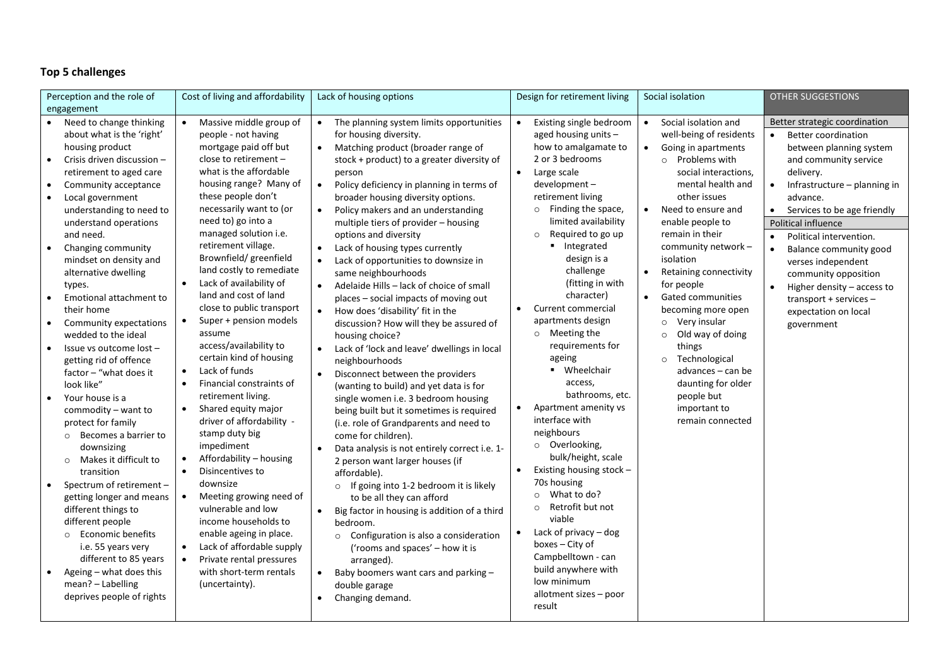# **Top 5 challenges**

| Perception and the role of                                                                                                                                                                                                                                                                                                                                                                                                                                                                                                                                                                                                                                                                                                                                                                                                                                                                                                                                                                                        | Cost of living and affordability                                                                                                                                                                                                                                                                                                                                                                                                                                                                                                                                                                                                                                                                                                                                                                                                                                                                                                                                                                                                                                                       | Lack of housing options                                                                                                                                                                                                                                                                                                                                                                                                                                                                                                                                                                                                                                                                                                                                                                                                                                                                                                                                                                                                                                                                                                                                                                                                                                                                                                                                                                                                                                                          | Design for retirement living                                                                                                                                                                                                                                                                                                                                                                                                                                                                                                                                                                                                                                                                                                                                                                                                                                                  | Social isolation                                                                                                                                                                                                                                                                                                                                                                                                                                                                                                                                                                                                      | <b>OTHER SUGGESTIONS</b>                                                                                                                                                                                                                                                                                                                                                                                                                                                              |
|-------------------------------------------------------------------------------------------------------------------------------------------------------------------------------------------------------------------------------------------------------------------------------------------------------------------------------------------------------------------------------------------------------------------------------------------------------------------------------------------------------------------------------------------------------------------------------------------------------------------------------------------------------------------------------------------------------------------------------------------------------------------------------------------------------------------------------------------------------------------------------------------------------------------------------------------------------------------------------------------------------------------|----------------------------------------------------------------------------------------------------------------------------------------------------------------------------------------------------------------------------------------------------------------------------------------------------------------------------------------------------------------------------------------------------------------------------------------------------------------------------------------------------------------------------------------------------------------------------------------------------------------------------------------------------------------------------------------------------------------------------------------------------------------------------------------------------------------------------------------------------------------------------------------------------------------------------------------------------------------------------------------------------------------------------------------------------------------------------------------|----------------------------------------------------------------------------------------------------------------------------------------------------------------------------------------------------------------------------------------------------------------------------------------------------------------------------------------------------------------------------------------------------------------------------------------------------------------------------------------------------------------------------------------------------------------------------------------------------------------------------------------------------------------------------------------------------------------------------------------------------------------------------------------------------------------------------------------------------------------------------------------------------------------------------------------------------------------------------------------------------------------------------------------------------------------------------------------------------------------------------------------------------------------------------------------------------------------------------------------------------------------------------------------------------------------------------------------------------------------------------------------------------------------------------------------------------------------------------------|-------------------------------------------------------------------------------------------------------------------------------------------------------------------------------------------------------------------------------------------------------------------------------------------------------------------------------------------------------------------------------------------------------------------------------------------------------------------------------------------------------------------------------------------------------------------------------------------------------------------------------------------------------------------------------------------------------------------------------------------------------------------------------------------------------------------------------------------------------------------------------|-----------------------------------------------------------------------------------------------------------------------------------------------------------------------------------------------------------------------------------------------------------------------------------------------------------------------------------------------------------------------------------------------------------------------------------------------------------------------------------------------------------------------------------------------------------------------------------------------------------------------|---------------------------------------------------------------------------------------------------------------------------------------------------------------------------------------------------------------------------------------------------------------------------------------------------------------------------------------------------------------------------------------------------------------------------------------------------------------------------------------|
| engagement                                                                                                                                                                                                                                                                                                                                                                                                                                                                                                                                                                                                                                                                                                                                                                                                                                                                                                                                                                                                        |                                                                                                                                                                                                                                                                                                                                                                                                                                                                                                                                                                                                                                                                                                                                                                                                                                                                                                                                                                                                                                                                                        |                                                                                                                                                                                                                                                                                                                                                                                                                                                                                                                                                                                                                                                                                                                                                                                                                                                                                                                                                                                                                                                                                                                                                                                                                                                                                                                                                                                                                                                                                  |                                                                                                                                                                                                                                                                                                                                                                                                                                                                                                                                                                                                                                                                                                                                                                                                                                                                               |                                                                                                                                                                                                                                                                                                                                                                                                                                                                                                                                                                                                                       |                                                                                                                                                                                                                                                                                                                                                                                                                                                                                       |
| Need to change thinking<br>about what is the 'right'<br>housing product<br>Crisis driven discussion -<br>$\bullet$<br>retirement to aged care<br>Community acceptance<br>$\bullet$<br>Local government<br>$\bullet$<br>understanding to need to<br>understand operations<br>and need.<br>Changing community<br>mindset on density and<br>alternative dwelling<br>types.<br>Emotional attachment to<br>$\bullet$<br>their home<br>Community expectations<br>$\bullet$<br>wedded to the ideal<br>Issue vs outcome lost -<br>getting rid of offence<br>factor - "what does it<br>look like"<br>Your house is a<br>commodity - want to<br>protect for family<br>Becomes a barrier to<br>$\circ$<br>downsizing<br>Makes it difficult to<br>$\circ$<br>transition<br>Spectrum of retirement -<br>getting longer and means<br>different things to<br>different people<br>○ Economic benefits<br>i.e. 55 years very<br>different to 85 years<br>Ageing - what does this<br>mean? - Labelling<br>deprives people of rights | Massive middle group of<br>$\bullet$<br>people - not having<br>mortgage paid off but<br>close to retirement -<br>what is the affordable<br>housing range? Many of<br>these people don't<br>necessarily want to (or<br>need to) go into a<br>managed solution i.e.<br>retirement village.<br>Brownfield/ greenfield<br>land costly to remediate<br>Lack of availability of<br>$\bullet$<br>land and cost of land<br>close to public transport<br>Super + pension models<br>$\bullet$<br>assume<br>access/availability to<br>certain kind of housing<br>Lack of funds<br>$\bullet$<br>Financial constraints of<br>$\bullet$<br>retirement living.<br>Shared equity major<br>$\bullet$<br>driver of affordability -<br>stamp duty big<br>impediment<br>Affordability - housing<br>$\bullet$<br>$\bullet$<br>Disincentives to<br>downsize<br>Meeting growing need of<br>$\bullet$<br>vulnerable and low<br>income households to<br>enable ageing in place.<br>Lack of affordable supply<br>$\bullet$<br>Private rental pressures<br>$\bullet$<br>with short-term rentals<br>(uncertainty). | • The planning system limits opportunities<br>for housing diversity.<br>• Matching product (broader range of<br>stock + product) to a greater diversity of<br>person<br>Policy deficiency in planning in terms of<br>$\bullet$<br>broader housing diversity options.<br>Policy makers and an understanding<br>$\bullet$<br>multiple tiers of provider - housing<br>options and diversity<br>Lack of housing types currently<br>Lack of opportunities to downsize in<br>$\bullet$<br>same neighbourhoods<br>Adelaide Hills - lack of choice of small<br>$\bullet$<br>places - social impacts of moving out<br>How does 'disability' fit in the<br>$\bullet$<br>discussion? How will they be assured of<br>housing choice?<br>Lack of 'lock and leave' dwellings in local<br>neighbourhoods<br>Disconnect between the providers<br>$\bullet$<br>(wanting to build) and yet data is for<br>single women i.e. 3 bedroom housing<br>being built but it sometimes is required<br>(i.e. role of Grandparents and need to<br>come for children).<br>Data analysis is not entirely correct i.e. 1-<br>2 person want larger houses (if<br>affordable).<br>If going into 1-2 bedroom it is likely<br>$\circ$<br>to be all they can afford<br>Big factor in housing is addition of a third<br>bedroom.<br>o Configuration is also a consideration<br>('rooms and spaces' - how it is<br>arranged).<br>Baby boomers want cars and parking -<br>$\bullet$<br>double garage<br>Changing demand. | Existing single bedroom<br>$\bullet$<br>aged housing units -<br>how to amalgamate to<br>2 or 3 bedrooms<br>$\bullet$<br>Large scale<br>development-<br>retirement living<br>Finding the space,<br>$\circ$<br>limited availability<br>Required to go up<br>$\circ$<br>• Integrated<br>design is a<br>challenge<br>(fitting in with<br>character)<br>Current commercial<br>$\bullet$<br>apartments design<br>o Meeting the<br>requirements for<br>ageing<br>• Wheelchair<br>access,<br>bathrooms, etc.<br>Apartment amenity vs<br>$\bullet$<br>interface with<br>neighbours<br>o Overlooking,<br>bulk/height, scale<br>Existing housing stock -<br>70s housing<br>What to do?<br>$\circ$<br>Retrofit but not<br>$\circ$<br>viable<br>Lack of privacy $-$ dog<br>boxes – City of<br>Campbelltown - can<br>build anywhere with<br>low minimum<br>allotment sizes - poor<br>result | $\bullet$<br>Social isolation and<br>well-being of residents<br>Going in apartments<br>$\bullet$<br>$\circ$ Problems with<br>social interactions,<br>mental health and<br>other issues<br>Need to ensure and<br>$\bullet$<br>enable people to<br>remain in their<br>community network -<br>isolation<br>Retaining connectivity<br>$\bullet$<br>for people<br>$\bullet$<br><b>Gated communities</b><br>becoming more open<br>Very insular<br>$\circ$<br>Old way of doing<br>$\circ$<br>things<br>Technological<br>$\circ$<br>advances - can be<br>daunting for older<br>people but<br>important to<br>remain connected | Better strategic coordination<br><b>Better coordination</b><br>$\bullet$<br>between planning system<br>and community service<br>delivery.<br>Infrastructure - planning in<br>$\bullet$<br>advance.<br>• Services to be age friendly<br>Political influence<br>Political intervention.<br>$\bullet$<br>Balance community good<br>verses independent<br>community opposition<br>Higher density - access to<br>$\bullet$<br>transport + services -<br>expectation on local<br>government |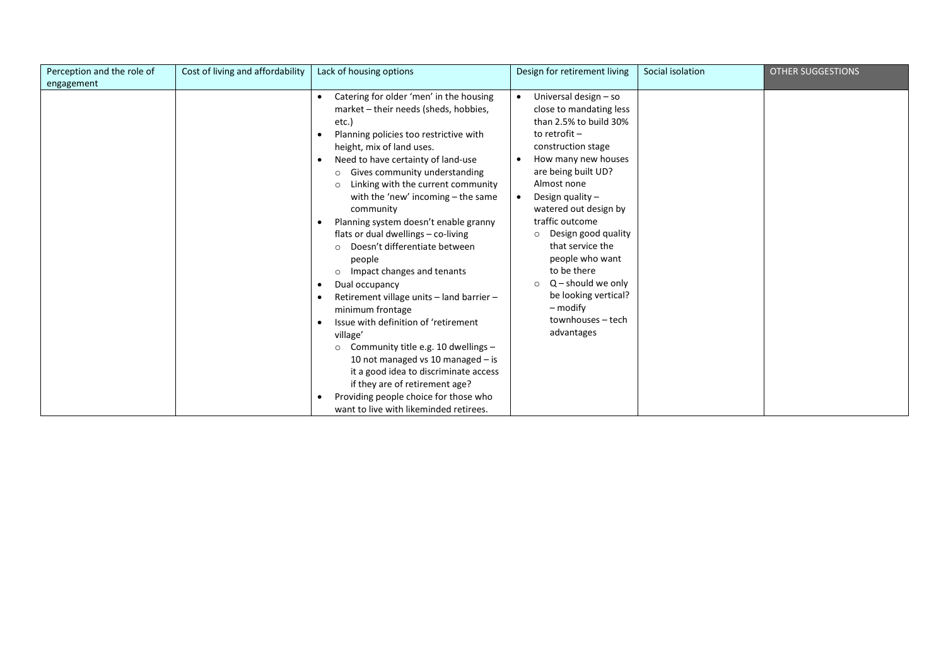| Perception and the role of | Cost of living and affordability | Lack of housing options                                                                                                                                                                                                                                                                                                                                                                                                                                                                                               | Design for retirement living                                                                                                                                                                                                                                    | Social isolation | <b>OTHER SUGGESTIONS</b> |
|----------------------------|----------------------------------|-----------------------------------------------------------------------------------------------------------------------------------------------------------------------------------------------------------------------------------------------------------------------------------------------------------------------------------------------------------------------------------------------------------------------------------------------------------------------------------------------------------------------|-----------------------------------------------------------------------------------------------------------------------------------------------------------------------------------------------------------------------------------------------------------------|------------------|--------------------------|
| engagement                 |                                  |                                                                                                                                                                                                                                                                                                                                                                                                                                                                                                                       |                                                                                                                                                                                                                                                                 |                  |                          |
|                            |                                  | Catering for older 'men' in the housing<br>market - their needs (sheds, hobbies,<br>etc.)<br>Planning policies too restrictive with<br>height, mix of land uses.<br>Need to have certainty of land-use<br>$\bullet$<br>Gives community understanding<br>$\circ$<br>Linking with the current community<br>$\circ$<br>with the 'new' incoming $-$ the same<br>community<br>Planning system doesn't enable granny                                                                                                        | Universal design - so<br>$\bullet$<br>close to mandating less<br>than 2.5% to build 30%<br>to retrofit $-$<br>construction stage<br>How many new houses<br>are being built UD?<br>Almost none<br>Design quality $-$<br>watered out design by<br>traffic outcome |                  |                          |
|                            |                                  | flats or dual dwellings - co-living<br>Doesn't differentiate between<br>people<br>Impact changes and tenants<br>$\circ$<br>Dual occupancy<br>Retirement village units - land barrier -<br>minimum frontage<br>Issue with definition of 'retirement<br>village'<br>Community title e.g. 10 dwellings -<br>$\circ$<br>10 not managed vs 10 managed $-$ is<br>it a good idea to discriminate access<br>if they are of retirement age?<br>Providing people choice for those who<br>want to live with likeminded retirees. | Design good quality<br>$\Omega$<br>that service the<br>people who want<br>to be there<br>$Q$ – should we only<br>$\circ$<br>be looking vertical?<br>– modify<br>townhouses - tech<br>advantages                                                                 |                  |                          |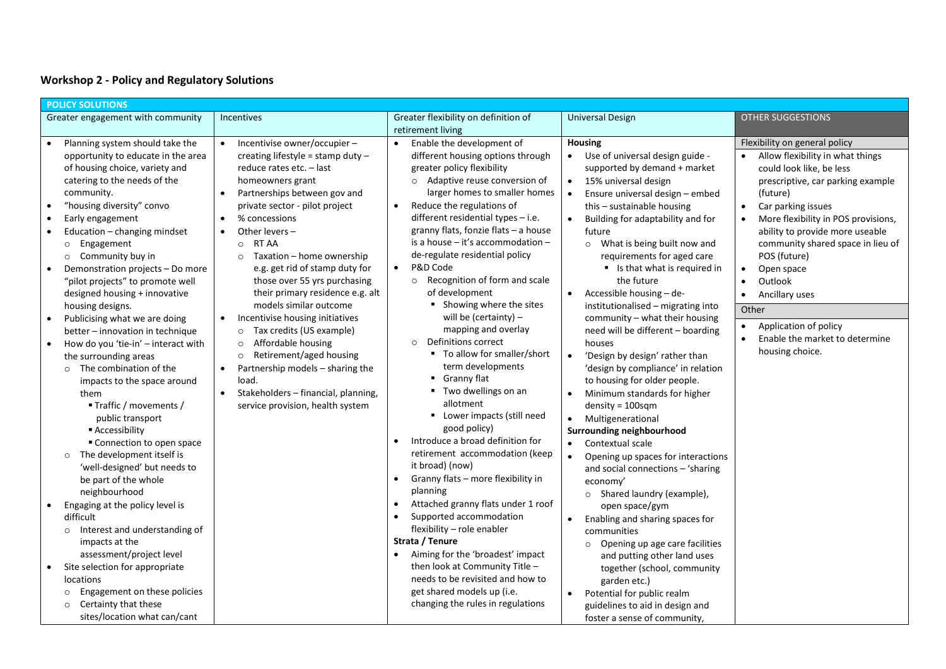### **Workshop 2 - Policy and Regulatory Solutions**

| <b>POLICY SOLUTIONS</b>                                       |                                                                                                                                                                                                                                                                                                                                                                                                                              |                                                                                                                                                                                                                                                                                                                                                                       |                                                                                                                                                                                                                                                                                                                                                                                                                                                                          |                                                                                                                                                                                                                                                                                                                                                                                                                                                                                              |                                                                                                                                                                                                                                                                                                                                                                                               |  |  |
|---------------------------------------------------------------|------------------------------------------------------------------------------------------------------------------------------------------------------------------------------------------------------------------------------------------------------------------------------------------------------------------------------------------------------------------------------------------------------------------------------|-----------------------------------------------------------------------------------------------------------------------------------------------------------------------------------------------------------------------------------------------------------------------------------------------------------------------------------------------------------------------|--------------------------------------------------------------------------------------------------------------------------------------------------------------------------------------------------------------------------------------------------------------------------------------------------------------------------------------------------------------------------------------------------------------------------------------------------------------------------|----------------------------------------------------------------------------------------------------------------------------------------------------------------------------------------------------------------------------------------------------------------------------------------------------------------------------------------------------------------------------------------------------------------------------------------------------------------------------------------------|-----------------------------------------------------------------------------------------------------------------------------------------------------------------------------------------------------------------------------------------------------------------------------------------------------------------------------------------------------------------------------------------------|--|--|
|                                                               | Greater engagement with community                                                                                                                                                                                                                                                                                                                                                                                            | Incentives                                                                                                                                                                                                                                                                                                                                                            | Greater flexibility on definition of                                                                                                                                                                                                                                                                                                                                                                                                                                     | <b>Universal Design</b>                                                                                                                                                                                                                                                                                                                                                                                                                                                                      | <b>OTHER SUGGESTIONS</b>                                                                                                                                                                                                                                                                                                                                                                      |  |  |
|                                                               |                                                                                                                                                                                                                                                                                                                                                                                                                              |                                                                                                                                                                                                                                                                                                                                                                       | retirement living                                                                                                                                                                                                                                                                                                                                                                                                                                                        |                                                                                                                                                                                                                                                                                                                                                                                                                                                                                              |                                                                                                                                                                                                                                                                                                                                                                                               |  |  |
| $\bullet$<br>$\bullet$<br>$\bullet$<br>$\bullet$<br>$\bullet$ | Planning system should take the<br>opportunity to educate in the area<br>of housing choice, variety and<br>catering to the needs of the<br>community.<br>"housing diversity" convo<br>Early engagement<br>Education - changing mindset<br>Engagement<br>$\circ$<br>Community buy in<br>$\circ$<br>Demonstration projects - Do more<br>"pilot projects" to promote well                                                       | Incentivise owner/occupier -<br>creating lifestyle = stamp duty $-$<br>reduce rates etc. - last<br>homeowners grant<br>Partnerships between gov and<br>private sector - pilot project<br>% concessions<br>$\bullet$<br>Other levers $-$<br>RT AA<br>$\circ$<br>Taxation - home ownership<br>$\circ$<br>e.g. get rid of stamp duty for<br>those over 55 yrs purchasing | Enable the development of<br>$\bullet$<br>different housing options through<br>greater policy flexibility<br>$\circ$ Adaptive reuse conversion of<br>larger homes to smaller homes<br>Reduce the regulations of<br>$\bullet$<br>different residential types - i.e.<br>granny flats, fonzie flats - a house<br>is a house - it's accommodation -<br>de-regulate residential policy<br>P&D Code<br>$\bullet$<br>Recognition of form and scale<br>$\circ$<br>of development | <b>Housing</b><br>Use of universal design guide -<br>$\bullet$<br>supported by demand + market<br>15% universal design<br>$\bullet$<br>Ensure universal design - embed<br>$\bullet$<br>this - sustainable housing<br>Building for adaptability and for<br>future<br>o What is being built now and<br>requirements for aged care<br>Is that what is required in<br>the future                                                                                                                 | Flexibility on general policy<br>Allow flexibility in what things<br>$\bullet$<br>could look like, be less<br>prescriptive, car parking example<br>(future)<br>Car parking issues<br>$\bullet$<br>More flexibility in POS provisions,<br>$\bullet$<br>ability to provide more useable<br>community shared space in lieu of<br>POS (future)<br>Open space<br>$\bullet$<br>Outlook<br>$\bullet$ |  |  |
|                                                               | designed housing + innovative<br>housing designs.                                                                                                                                                                                                                                                                                                                                                                            | their primary residence e.g. alt<br>models similar outcome                                                                                                                                                                                                                                                                                                            | • Showing where the sites                                                                                                                                                                                                                                                                                                                                                                                                                                                | Accessible housing - de-<br>institutionalised - migrating into                                                                                                                                                                                                                                                                                                                                                                                                                               | Ancillary uses                                                                                                                                                                                                                                                                                                                                                                                |  |  |
| $\bullet$<br>$\bullet$                                        | Publicising what we are doing<br>better - innovation in technique<br>How do you 'tie-in' - interact with<br>the surrounding areas<br>The combination of the<br>$\circ$<br>impacts to the space around<br>them<br>■ Traffic / movements /<br>public transport<br>■ Accessibility<br>Connection to open space<br>The development itself is<br>$\circ$<br>'well-designed' but needs to<br>be part of the whole<br>neighbourhood | $\bullet$<br>Incentivise housing initiatives<br>Tax credits (US example)<br>$\circ$<br>Affordable housing<br>$\circ$<br>Retirement/aged housing<br>$\circ$<br>Partnership models - sharing the<br>$\bullet$<br>load.<br>Stakeholders - financial, planning,<br>$\bullet$<br>service provision, health system                                                          | will be (certainty) $-$<br>mapping and overlay<br>Definitions correct<br>$\circ$<br>■ To allow for smaller/short<br>term developments<br>Granny flat<br>Two dwellings on an<br>٠<br>allotment<br>• Lower impacts (still need<br>good policy)<br>Introduce a broad definition for<br>$\bullet$<br>retirement accommodation (keep<br>it broad) (now)<br>Granny flats - more flexibility in<br>$\bullet$<br>planning                                                        | community - what their housing<br>need will be different - boarding<br>houses<br>'Design by design' rather than<br>$\bullet$<br>'design by compliance' in relation<br>to housing for older people.<br>Minimum standards for higher<br>$\bullet$<br>$density = 100$ sqm<br>Multigenerational<br>$\bullet$<br>Surrounding neighbourhood<br>Contextual scale<br>$\bullet$<br>Opening up spaces for interactions<br>and social connections - 'sharing<br>economy'<br>o Shared laundry (example), | Other<br>Application of policy<br>$\bullet$<br>Enable the market to determine<br>$\bullet$<br>housing choice.                                                                                                                                                                                                                                                                                 |  |  |
| $\bullet$                                                     | Engaging at the policy level is<br>difficult<br>Interest and understanding of<br>$\circ$<br>impacts at the<br>assessment/project level<br>Site selection for appropriate<br>locations<br>Engagement on these policies<br>$\circ$<br>Certainty that these<br>$\circ$<br>sites/location what can/cant                                                                                                                          |                                                                                                                                                                                                                                                                                                                                                                       | Attached granny flats under 1 roof<br>$\bullet$<br>Supported accommodation<br>$\bullet$<br>flexibility - role enabler<br>Strata / Tenure<br>Aiming for the 'broadest' impact<br>then look at Community Title -<br>needs to be revisited and how to<br>get shared models up (i.e.<br>changing the rules in regulations                                                                                                                                                    | open space/gym<br>Enabling and sharing spaces for<br>communities<br>Opening up age care facilities<br>$\circ$<br>and putting other land uses<br>together (school, community<br>garden etc.)<br>Potential for public realm<br>guidelines to aid in design and<br>foster a sense of community,                                                                                                                                                                                                 |                                                                                                                                                                                                                                                                                                                                                                                               |  |  |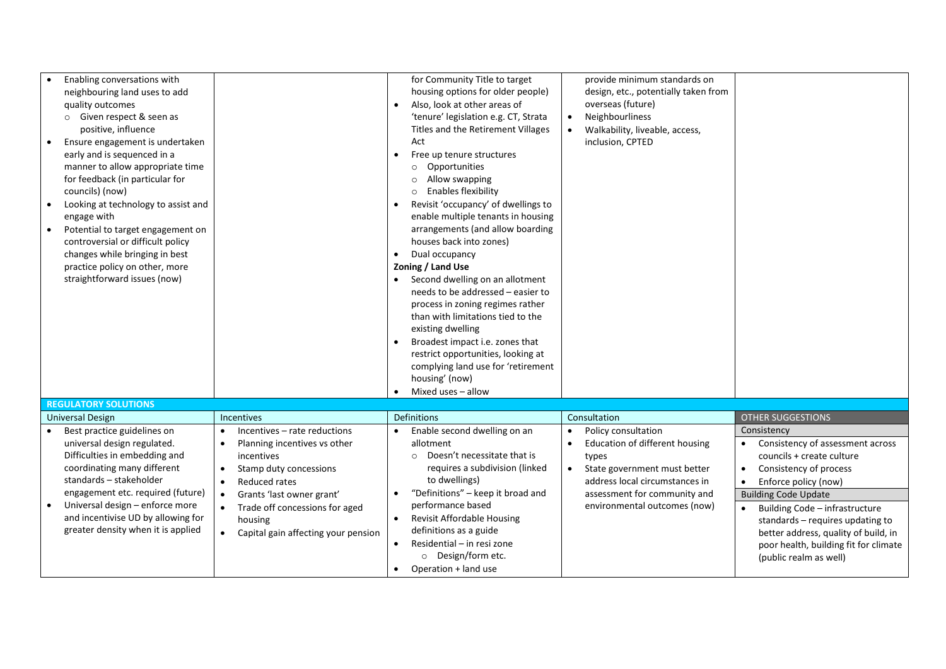| Enabling conversations with<br>neighbouring land uses to add<br>quality outcomes<br>o Given respect & seen as<br>positive, influence<br>Ensure engagement is undertaken<br>$\bullet$<br>early and is sequenced in a<br>manner to allow appropriate time<br>for feedback (in particular for<br>councils) (now)<br>Looking at technology to assist and<br>engage with<br>Potential to target engagement on<br>$\bullet$<br>controversial or difficult policy<br>changes while bringing in best<br>practice policy on other, more<br>straightforward issues (now) |                                                                                                                                                                                                                                                                                            | for Community Title to target<br>housing options for older people)<br>Also, look at other areas of<br>'tenure' legislation e.g. CT, Strata<br>Titles and the Retirement Villages<br>Act<br>Free up tenure structures<br>$\bullet$<br>Opportunities<br>$\circ$<br>Allow swapping<br>$\Omega$<br><b>Enables flexibility</b><br>Revisit 'occupancy' of dwellings to<br>enable multiple tenants in housing<br>arrangements (and allow boarding<br>houses back into zones)<br>Dual occupancy<br>$\bullet$<br>Zoning / Land Use<br>Second dwelling on an allotment<br>needs to be addressed - easier to<br>process in zoning regimes rather<br>than with limitations tied to the<br>existing dwelling<br>Broadest impact i.e. zones that<br>restrict opportunities, looking at<br>complying land use for 'retirement<br>housing' (now) | provide minimum standards on<br>design, etc., potentially taken from<br>overseas (future)<br>Neighbourliness<br>$\bullet$<br>Walkability, liveable, access,<br>inclusion, CPTED                                                         |                                                                                                                                                                                                                                                                                                                                                                          |
|----------------------------------------------------------------------------------------------------------------------------------------------------------------------------------------------------------------------------------------------------------------------------------------------------------------------------------------------------------------------------------------------------------------------------------------------------------------------------------------------------------------------------------------------------------------|--------------------------------------------------------------------------------------------------------------------------------------------------------------------------------------------------------------------------------------------------------------------------------------------|----------------------------------------------------------------------------------------------------------------------------------------------------------------------------------------------------------------------------------------------------------------------------------------------------------------------------------------------------------------------------------------------------------------------------------------------------------------------------------------------------------------------------------------------------------------------------------------------------------------------------------------------------------------------------------------------------------------------------------------------------------------------------------------------------------------------------------|-----------------------------------------------------------------------------------------------------------------------------------------------------------------------------------------------------------------------------------------|--------------------------------------------------------------------------------------------------------------------------------------------------------------------------------------------------------------------------------------------------------------------------------------------------------------------------------------------------------------------------|
|                                                                                                                                                                                                                                                                                                                                                                                                                                                                                                                                                                |                                                                                                                                                                                                                                                                                            | Mixed uses - allow                                                                                                                                                                                                                                                                                                                                                                                                                                                                                                                                                                                                                                                                                                                                                                                                               |                                                                                                                                                                                                                                         |                                                                                                                                                                                                                                                                                                                                                                          |
| <b>REGULATORY SOLUTIONS</b>                                                                                                                                                                                                                                                                                                                                                                                                                                                                                                                                    |                                                                                                                                                                                                                                                                                            |                                                                                                                                                                                                                                                                                                                                                                                                                                                                                                                                                                                                                                                                                                                                                                                                                                  |                                                                                                                                                                                                                                         |                                                                                                                                                                                                                                                                                                                                                                          |
| Universal Design                                                                                                                                                                                                                                                                                                                                                                                                                                                                                                                                               | <b>Incentives</b>                                                                                                                                                                                                                                                                          | Definitions                                                                                                                                                                                                                                                                                                                                                                                                                                                                                                                                                                                                                                                                                                                                                                                                                      | Consultation                                                                                                                                                                                                                            | <b>OTHER SUGGESTIONS</b>                                                                                                                                                                                                                                                                                                                                                 |
| Best practice guidelines on<br>universal design regulated.<br>Difficulties in embedding and<br>coordinating many different<br>standards - stakeholder<br>engagement etc. required (future)<br>Universal design - enforce more<br>and incentivise UD by allowing for<br>greater density when it is applied                                                                                                                                                                                                                                                      | Incentives - rate reductions<br>$\bullet$<br>Planning incentives vs other<br>incentives<br>Stamp duty concessions<br>$\bullet$<br>Reduced rates<br>$\bullet$<br>Grants 'last owner grant'<br>$\bullet$<br>Trade off concessions for aged<br>housing<br>Capital gain affecting your pension | Enable second dwelling on an<br>$\bullet$<br>allotment<br>Doesn't necessitate that is<br>$\circ$<br>requires a subdivision (linked<br>to dwellings)<br>"Definitions" - keep it broad and<br>performance based<br>Revisit Affordable Housing<br>$\bullet$<br>definitions as a guide<br>Residential - in resi zone<br>$\bullet$<br>O Design/form etc.<br>Operation + land use                                                                                                                                                                                                                                                                                                                                                                                                                                                      | Policy consultation<br>$\bullet$<br>Education of different housing<br>$\bullet$<br>types<br>State government must better<br>$\bullet$<br>address local circumstances in<br>assessment for community and<br>environmental outcomes (now) | Consistency<br>Consistency of assessment across<br>councils + create culture<br>Consistency of process<br>$\bullet$<br>Enforce policy (now)<br>$\bullet$<br><b>Building Code Update</b><br>Building Code - infrastructure<br>standards - requires updating to<br>better address, quality of build, in<br>poor health, building fit for climate<br>(public realm as well) |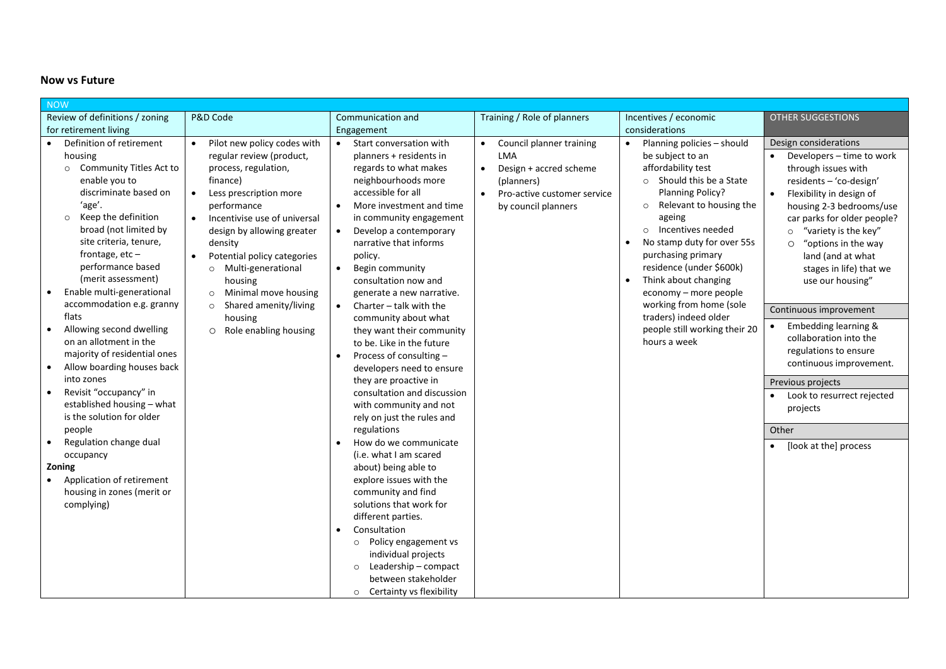### **Now vs Future**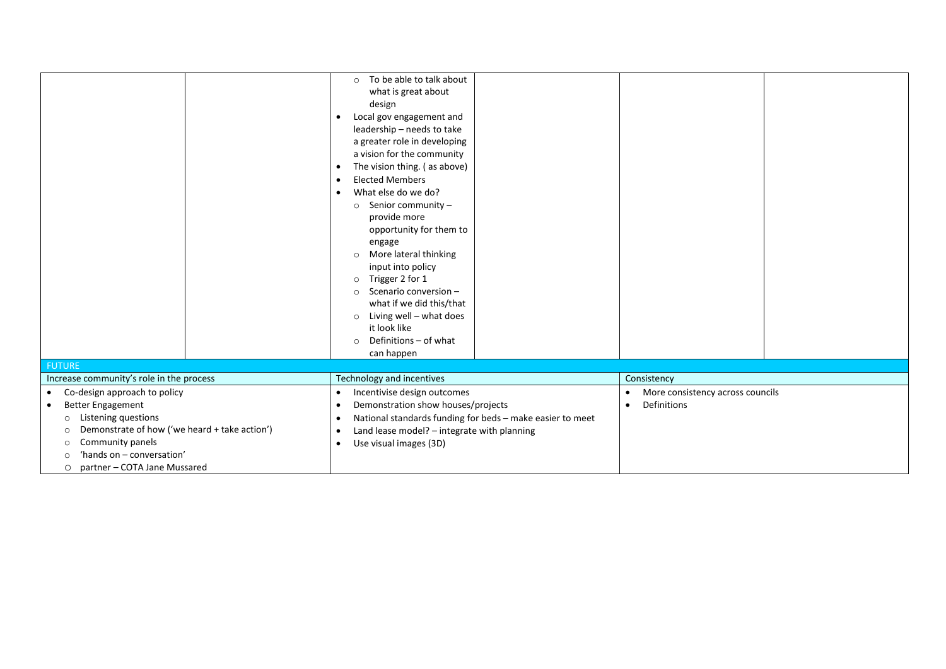|                                                          | To be able to talk about<br>$\circ$                                    |                                       |  |
|----------------------------------------------------------|------------------------------------------------------------------------|---------------------------------------|--|
|                                                          | what is great about                                                    |                                       |  |
|                                                          | design                                                                 |                                       |  |
|                                                          | Local gov engagement and<br>$\bullet$                                  |                                       |  |
|                                                          | leadership - needs to take                                             |                                       |  |
|                                                          | a greater role in developing                                           |                                       |  |
|                                                          | a vision for the community                                             |                                       |  |
|                                                          | The vision thing. (as above)<br>$\bullet$                              |                                       |  |
|                                                          | <b>Elected Members</b><br>$\bullet$                                    |                                       |  |
|                                                          | What else do we do?<br>$\bullet$                                       |                                       |  |
|                                                          | Senior community -<br>$\circ$                                          |                                       |  |
|                                                          | provide more                                                           |                                       |  |
|                                                          | opportunity for them to                                                |                                       |  |
|                                                          | engage                                                                 |                                       |  |
|                                                          | More lateral thinking<br>$\circ$                                       |                                       |  |
|                                                          | input into policy                                                      |                                       |  |
|                                                          | Trigger 2 for 1<br>$\circ$                                             |                                       |  |
|                                                          | Scenario conversion -<br>$\circ$                                       |                                       |  |
|                                                          | what if we did this/that                                               |                                       |  |
|                                                          | Living well – what does<br>$\circ$                                     |                                       |  |
|                                                          | it look like                                                           |                                       |  |
|                                                          | Definitions - of what<br>$\circ$                                       |                                       |  |
|                                                          | can happen                                                             |                                       |  |
| <b>FUTURE</b>                                            |                                                                        |                                       |  |
| Increase community's role in the process                 | Technology and incentives                                              | Consistency                           |  |
| Co-design approach to policy<br>$\bullet$                | Incentivise design outcomes<br>$\bullet$                               | More consistency across councils<br>٠ |  |
| <b>Better Engagement</b><br>$\bullet$                    | Demonstration show houses/projects<br>$\bullet$                        | Definitions<br>$\bullet$              |  |
| Listening questions<br>$\circ$                           | National standards funding for beds - make easier to meet<br>$\bullet$ |                                       |  |
| Demonstrate of how ('we heard + take action')<br>$\circ$ | Land lease model? - integrate with planning<br>$\bullet$               |                                       |  |
| Community panels<br>$\Omega$                             | Use visual images (3D)<br>$\bullet$                                    |                                       |  |
| 'hands on - conversation'<br>$\Omega$                    |                                                                        |                                       |  |
| partner - COTA Jane Mussared<br>$\circ$                  |                                                                        |                                       |  |